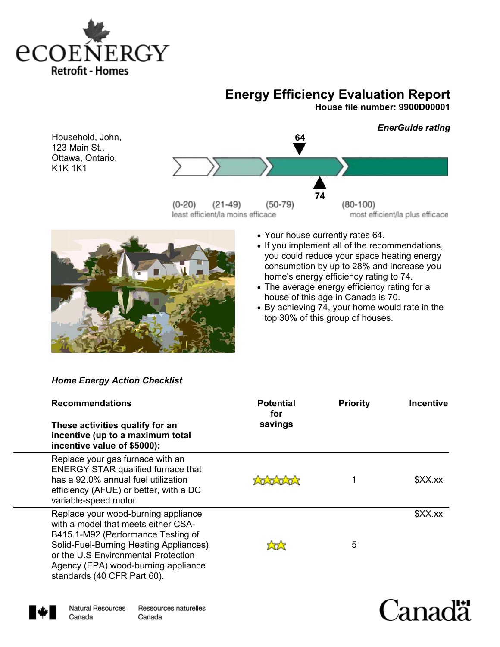

# **Energy Efficiency Evaluation Report**

**House file number: 9900D00001** 

Household, John, 123 Main St., Ottawa, Ontario, K1K 1K1





- ! Your house currently rates 64.
- If you implement all of the recommendations, you could reduce your space heating energy consumption by up to 28% and increase you home's energy efficiency rating to 74.
- . The average energy efficiency rating for a house of this age in Canada is 70.
- ! By achieving 74, your home would rate in the top 30% of this group of houses.

# *Home Energy Action Checklist*

| <b>Recommendations</b>                                                                                                                                                                                                                                                  | <b>Potential</b><br>for | <b>Priority</b> | <b>Incentive</b> |
|-------------------------------------------------------------------------------------------------------------------------------------------------------------------------------------------------------------------------------------------------------------------------|-------------------------|-----------------|------------------|
| These activities qualify for an<br>incentive (up to a maximum total<br>incentive value of \$5000):                                                                                                                                                                      | savings                 |                 |                  |
| Replace your gas furnace with an<br><b>ENERGY STAR qualified furnace that</b><br>has a 92.0% annual fuel utilization<br>efficiency (AFUE) or better, with a DC<br>variable-speed motor.                                                                                 | Latan                   |                 | \$XX.xx          |
| Replace your wood-burning appliance<br>with a model that meets either CSA-<br>B415.1-M92 (Performance Testing of<br>Solid-Fuel-Burning Heating Appliances)<br>or the U.S Environmental Protection<br>Agency (EPA) wood-burning appliance<br>standards (40 CFR Part 60). | ਮਿਸ                     | 5               | \$XX.xx          |



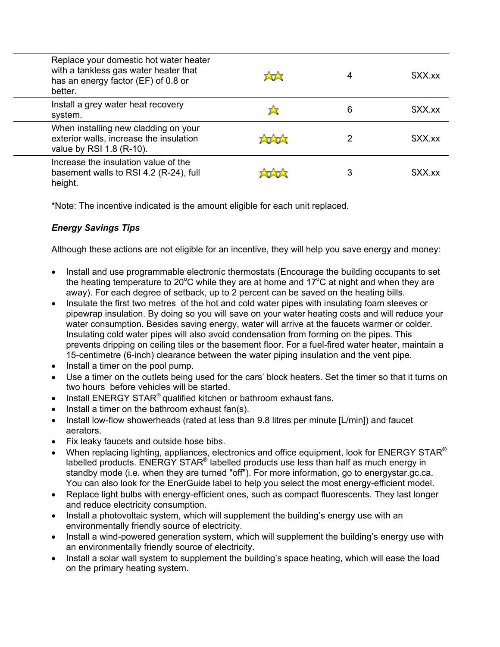| Replace your domestic hot water heater<br>with a tankless gas water heater that<br>has an energy factor (EF) of 0.8 or<br>better. | tat  | 4 | \$XX.x  |
|-----------------------------------------------------------------------------------------------------------------------------------|------|---|---------|
| Install a grey water heat recovery<br>system.                                                                                     | z3   | 6 | \$XX.x  |
| When installing new cladding on your<br>exterior walls, increase the insulation<br>value by RSI 1.8 (R-10).                       | tata | 2 | \$XX.xx |
| Increase the insulation value of the<br>basement walls to RSI 4.2 (R-24), full<br>height.                                         | tant | 3 | \$XX.xx |

\*Note: The incentive indicated is the amount eligible for each unit replaced.

# *Energy Savings Tips*

Although these actions are not eligible for an incentive, they will help you save energy and money:

- Install and use programmable electronic thermostats (Encourage the building occupants to set the heating temperature to 20°C while they are at home and 17°C at night and when they are away). For each degree of setback, up to 2 percent can be saved on the heating bills.
- ! Insulate the first two metres of the hot and cold water pipes with insulating foam sleeves or pipewrap insulation. By doing so you will save on your water heating costs and will reduce your water consumption. Besides saving energy, water will arrive at the faucets warmer or colder. Insulating cold water pipes will also avoid condensation from forming on the pipes. This prevents dripping on ceiling tiles or the basement floor. For a fuel-fired water heater, maintain a 15-centimetre (6-inch) clearance between the water piping insulation and the vent pipe.
- Install a timer on the pool pump.
- Use a timer on the outlets being used for the cars' block heaters. Set the timer so that it turns on two hours before vehicles will be started.
- $\bullet$  Install ENERGY STAR<sup>®</sup> qualified kitchen or bathroom exhaust fans.
- Install a timer on the bathroom exhaust fan(s).
- Install low-flow showerheads (rated at less than 9.8 litres per minute [L/min]) and faucet aerators.
- Fix leaky faucets and outside hose bibs.
- When replacing lighting, appliances, electronics and office equipment, look for ENERGY STAR<sup>®</sup> labelled products. ENERGY STAR<sup>®</sup> labelled products use less than half as much energy in standby mode (i.e. when they are turned "off"). For more information, go to energystar.gc.ca. You can also look for the EnerGuide label to help you select the most energy-efficient model.
- Replace light bulbs with energy-efficient ones, such as compact fluorescents. They last longer and reduce electricity consumption.
- Install a photovoltaic system, which will supplement the building's energy use with an environmentally friendly source of electricity.
- ! Install a wind-powered generation system, which will supplement the building's energy use with an environmentally friendly source of electricity.
- ! Install a solar wall system to supplement the building's space heating, which will ease the load on the primary heating system.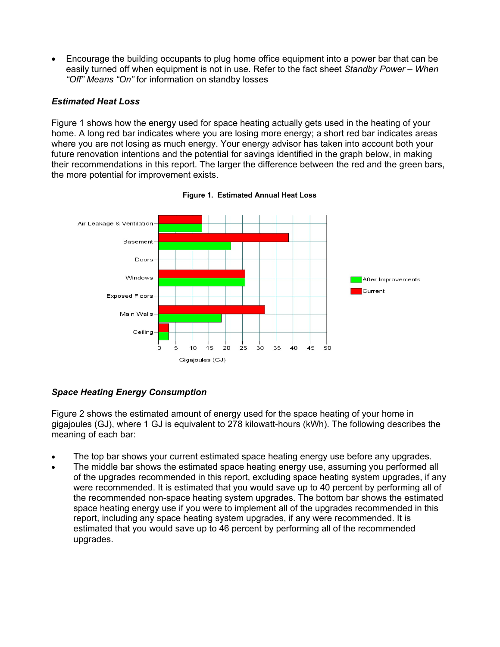! Encourage the building occupants to plug home office equipment into a power bar that can be easily turned off when equipment is not in use. Refer to the fact sheet *Standby Power – When "Off" Means "On"* for information on standby losses

## *Estimated Heat Loss*

Figure 1 shows how the energy used for space heating actually gets used in the heating of your home. A long red bar indicates where you are losing more energy; a short red bar indicates areas where you are not losing as much energy. Your energy advisor has taken into account both your future renovation intentions and the potential for savings identified in the graph below, in making their recommendations in this report. The larger the difference between the red and the green bars, the more potential for improvement exists.



**Figure 1. Estimated Annual Heat Loss**

# *Space Heating Energy Consumption*

Figure 2 shows the estimated amount of energy used for the space heating of your home in gigajoules (GJ), where 1 GJ is equivalent to 278 kilowatt-hours (kWh). The following describes the meaning of each bar:

- The top bar shows your current estimated space heating energy use before any upgrades.
- The middle bar shows the estimated space heating energy use, assuming you performed all of the upgrades recommended in this report, excluding space heating system upgrades, if any were recommended. It is estimated that you would save up to 40 percent by performing all of the recommended non-space heating system upgrades. The bottom bar shows the estimated space heating energy use if you were to implement all of the upgrades recommended in this report, including any space heating system upgrades, if any were recommended. It is estimated that you would save up to 46 percent by performing all of the recommended upgrades.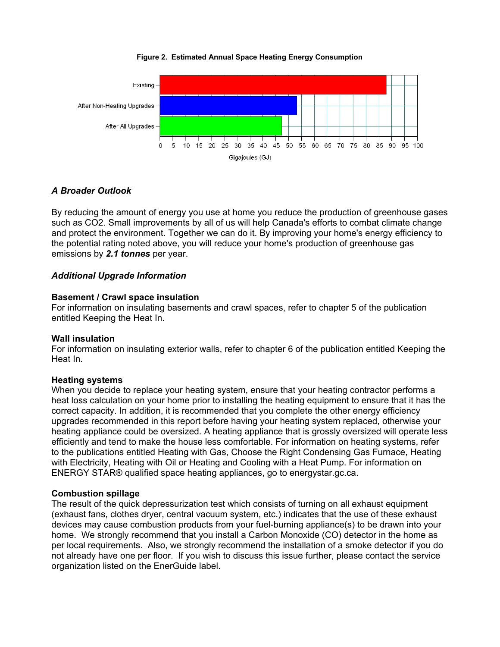

### **Figure 2. Estimated Annual Space Heating Energy Consumption**

# *A Broader Outlook*

By reducing the amount of energy you use at home you reduce the production of greenhouse gases such as CO2. Small improvements by all of us will help Canada's efforts to combat climate change and protect the environment. Together we can do it. By improving your home's energy efficiency to the potential rating noted above, you will reduce your home's production of greenhouse gas emissions by *2.1 tonnes* per year.

## *Additional Upgrade Information*

### **Basement / Crawl space insulation**

For information on insulating basements and crawl spaces, refer to chapter 5 of the publication entitled Keeping the Heat In.

### **Wall insulation**

For information on insulating exterior walls, refer to chapter 6 of the publication entitled Keeping the Heat In.

### **Heating systems**

When you decide to replace your heating system, ensure that your heating contractor performs a heat loss calculation on your home prior to installing the heating equipment to ensure that it has the correct capacity. In addition, it is recommended that you complete the other energy efficiency upgrades recommended in this report before having your heating system replaced, otherwise your heating appliance could be oversized. A heating appliance that is grossly oversized will operate less efficiently and tend to make the house less comfortable. For information on heating systems, refer to the publications entitled Heating with Gas, Choose the Right Condensing Gas Furnace, Heating with Electricity, Heating with Oil or Heating and Cooling with a Heat Pump. For information on ENERGY STAR® qualified space heating appliances, go to energystar.gc.ca.

### **Combustion spillage**

The result of the quick depressurization test which consists of turning on all exhaust equipment (exhaust fans, clothes dryer, central vacuum system, etc.) indicates that the use of these exhaust devices may cause combustion products from your fuel-burning appliance(s) to be drawn into your home. We strongly recommend that you install a Carbon Monoxide (CO) detector in the home as per local requirements. Also, we strongly recommend the installation of a smoke detector if you do not already have one per floor. If you wish to discuss this issue further, please contact the service organization listed on the EnerGuide label.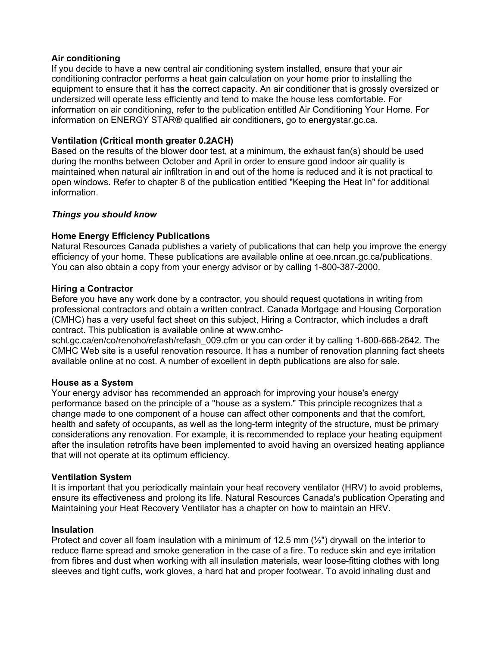### **Air conditioning**

If you decide to have a new central air conditioning system installed, ensure that your air conditioning contractor performs a heat gain calculation on your home prior to installing the equipment to ensure that it has the correct capacity. An air conditioner that is grossly oversized or undersized will operate less efficiently and tend to make the house less comfortable. For information on air conditioning, refer to the publication entitled Air Conditioning Your Home. For information on ENERGY STAR® qualified air conditioners, go to energystar.gc.ca.

## **Ventilation (Critical month greater 0.2ACH)**

Based on the results of the blower door test, at a minimum, the exhaust fan(s) should be used during the months between October and April in order to ensure good indoor air quality is maintained when natural air infiltration in and out of the home is reduced and it is not practical to open windows. Refer to chapter 8 of the publication entitled "Keeping the Heat In" for additional information.

## *Things you should know*

## **Home Energy Efficiency Publications**

Natural Resources Canada publishes a variety of publications that can help you improve the energy efficiency of your home. These publications are available online at oee.nrcan.gc.ca/publications. You can also obtain a copy from your energy advisor or by calling 1-800-387-2000.

## **Hiring a Contractor**

Before you have any work done by a contractor, you should request quotations in writing from professional contractors and obtain a written contract. Canada Mortgage and Housing Corporation (CMHC) has a very useful fact sheet on this subject, Hiring a Contractor, which includes a draft contract. This publication is available online at www.cmhc-

schl.gc.ca/en/co/renoho/refash/refash 009.cfm or you can order it by calling 1-800-668-2642. The CMHC Web site is a useful renovation resource. It has a number of renovation planning fact sheets available online at no cost. A number of excellent in depth publications are also for sale.

## **House as a System**

Your energy advisor has recommended an approach for improving your house's energy performance based on the principle of a "house as a system." This principle recognizes that a change made to one component of a house can affect other components and that the comfort, health and safety of occupants, as well as the long-term integrity of the structure, must be primary considerations any renovation. For example, it is recommended to replace your heating equipment after the insulation retrofits have been implemented to avoid having an oversized heating appliance that will not operate at its optimum efficiency.

### **Ventilation System**

It is important that you periodically maintain your heat recovery ventilator (HRV) to avoid problems, ensure its effectiveness and prolong its life. Natural Resources Canada's publication Operating and Maintaining your Heat Recovery Ventilator has a chapter on how to maintain an HRV.

### **Insulation**

Protect and cover all foam insulation with a minimum of 12.5 mm (½") drywall on the interior to reduce flame spread and smoke generation in the case of a fire. To reduce skin and eye irritation from fibres and dust when working with all insulation materials, wear loose-fitting clothes with long sleeves and tight cuffs, work gloves, a hard hat and proper footwear. To avoid inhaling dust and